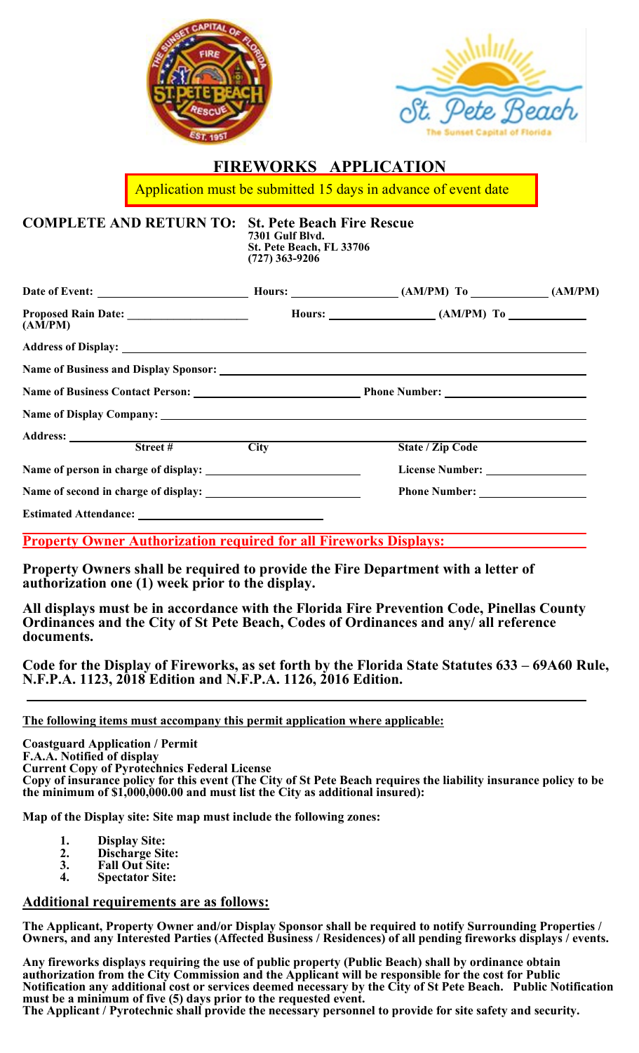



## **FIREWORKS APPLICATION**

Application must be submitted 15 days in advance of event date

**COMPLETE AND RETURN TO: St. Pete Beach Fire Rescue 7301 Gulf Blvd. St. Pete Beach, FL 33706 (727) 363-9206**

| (AM/PM)                                                  | Hours: $\_\_\_\_\_$ (AM/PM) To |  |
|----------------------------------------------------------|--------------------------------|--|
|                                                          |                                |  |
|                                                          |                                |  |
|                                                          |                                |  |
| Name of Display Company: <u>Name of Display Company:</u> |                                |  |
|                                                          |                                |  |
| Address: <u>Street # City</u>                            | State / Zip Code               |  |
|                                                          |                                |  |
|                                                          |                                |  |
|                                                          |                                |  |

**Property Owner Authorization required for all Fireworks Displays:**

**Property Owners shall be required to provide the Fire Department with a letter of authorization one (1) week prior to the display.** 

**All displays must be in accordance with the Florida Fire Prevention Code, Pinellas County Ordinances and the City of St Pete Beach, Codes of Ordinances and any/ all reference documents.** 

**Code for the Display of Fireworks, as set forth by the Florida State Statutes 633 – 69A60 Rule, N.F.P.A. 1123, 2018 Edition and N.F.P.A. 1126, 2016 Edition.** 

**The following items must accompany this permit application where applicable:**

**Coastguard Application / Permit F.A.A. Notified of display**  Copy of insurance policy for this event (The City of St Pete Beach requires the liability insurance policy to be **the minimum of \$1,000,000.00 and must list the City as additional insured):** 

**Map of the Display site: Site map must include the following zones:** 

- **1. Display Site:**
- **2. Discharge Site:**
- **3. Fall Out Site:**
- **4. Spectator Site:**

## **Additional requirements are as follows:**

**The Applicant, Property Owner and/or Display Sponsor shall be required to notify Surrounding Properties /**  Owners, and any Interested Parties (Affected Business / Residences) of all pending fireworks displays / events.

**Any fireworks displays requiring the use of public property (Public Beach) shall by ordinance obtain authorization from the City Commission and the Applicant will be responsible for the cost for Public Notification any additional cost or services deemed necessary by the City of St Pete Beach. Public Notification must be a minimum of five (5) days prior to the requested event. The Applicant / Pyrotechnic shall provide the necessary personnel to provide for site safety and security.**